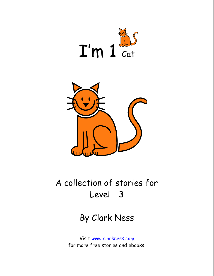



## A collection of stories for Level - 3

## By Clark Ness

Visit www.clarkness.com for more free stories and ebooks.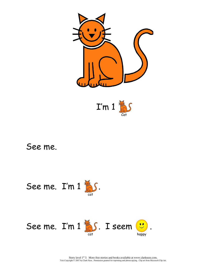







Story level  $1<sup>st</sup>$  3. More free stories and books available at www.clarkness.com. Text Copyright © 2007 by Clark Ness. Permission granted for reprinting and photocopying. Clip art from Microsoft Clip Art.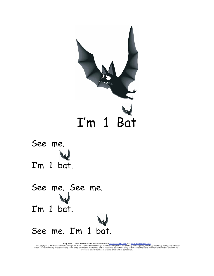



See me. See me. I'm 1 bat. See me. I'm 1 bat.

Story level 3. More free stories and ebooks available at <u>www.clarkness.com</u> and <u>www.readinghawk.com</u>.<br>Text Copyright © 2015 by Clark Ness. Images are from Microsoft Office Images. Permission is granted for printing, phot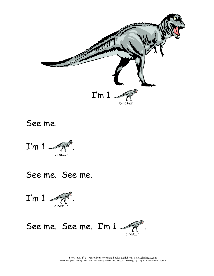



See me. See me.



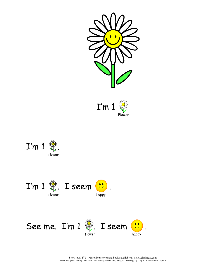



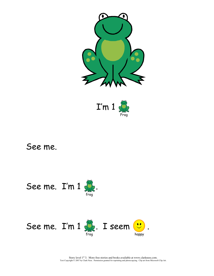



See me.  $I'm 1 \leqslant$ 



Story level  $1<sup>st</sup>$  3. More free stories and books available at www.clarkness.com.<br>Text Copyright © 2007 by Clark Ness. Permission granted for reprinting and photocopying. Clip art from Microsoft Clip Art.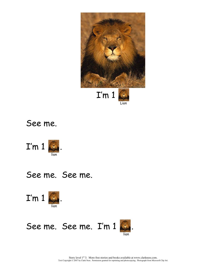





See me. See me.





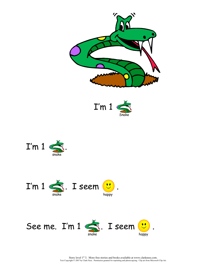







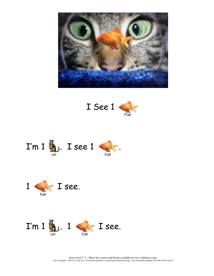







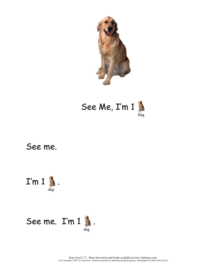

 See Me, I'm 1 Dog



## See me.  $I'm 1$  . dog and a strategic control of the strategic control of the strategic control of the strategic control of the s